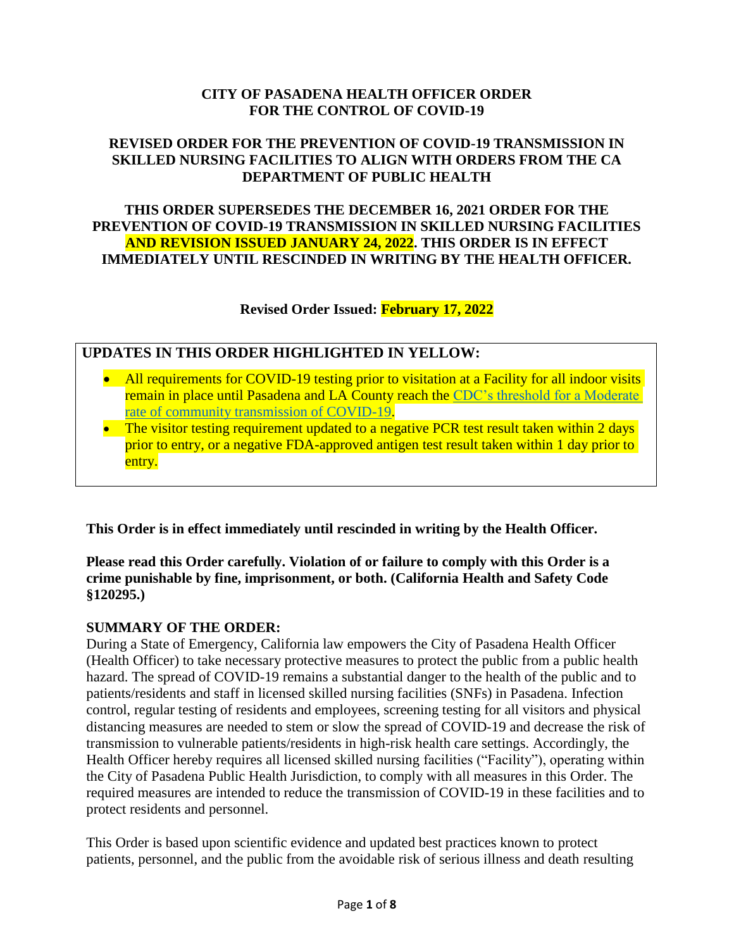## **CITY OF PASADENA HEALTH OFFICER ORDER FOR THE CONTROL OF COVID-19**

## **REVISED ORDER FOR THE PREVENTION OF COVID-19 TRANSMISSION IN SKILLED NURSING FACILITIES TO ALIGN WITH ORDERS FROM THE CA DEPARTMENT OF PUBLIC HEALTH**

### **THIS ORDER SUPERSEDES THE DECEMBER 16, 2021 ORDER FOR THE PREVENTION OF COVID-19 TRANSMISSION IN SKILLED NURSING FACILITIES AND REVISION ISSUED JANUARY 24, 2022. THIS ORDER IS IN EFFECT IMMEDIATELY UNTIL RESCINDED IN WRITING BY THE HEALTH OFFICER.**

**Revised Order Issued: February 17, 2022**

## **UPDATES IN THIS ORDER HIGHLIGHTED IN YELLOW:**

- All requirements for COVID-19 testing prior to visitation at a Facility for all indoor visits remain in place until Pasadena and LA County reach the [CDC's threshold for a Moderate](https://covid.cdc.gov/covid-data-tracker/#county-view)  [rate of community transmission of COVID-19.](https://covid.cdc.gov/covid-data-tracker/#county-view)
- The visitor testing requirement updated to a negative PCR test result taken within 2 days prior to entry, or a negative FDA-approved antigen test result taken within 1 day prior to entry.

**This Order is in effect immediately until rescinded in writing by the Health Officer.**

## **Please read this Order carefully. Violation of or failure to comply with this Order is a crime punishable by fine, imprisonment, or both. (California Health and Safety Code §120295.)**

## **SUMMARY OF THE ORDER:**

During a State of Emergency, California law empowers the City of Pasadena Health Officer (Health Officer) to take necessary protective measures to protect the public from a public health hazard. The spread of COVID-19 remains a substantial danger to the health of the public and to patients/residents and staff in licensed skilled nursing facilities (SNFs) in Pasadena. Infection control, regular testing of residents and employees, screening testing for all visitors and physical distancing measures are needed to stem or slow the spread of COVID-19 and decrease the risk of transmission to vulnerable patients/residents in high-risk health care settings. Accordingly, the Health Officer hereby requires all licensed skilled nursing facilities ("Facility"), operating within the City of Pasadena Public Health Jurisdiction, to comply with all measures in this Order. The required measures are intended to reduce the transmission of COVID-19 in these facilities and to protect residents and personnel.

This Order is based upon scientific evidence and updated best practices known to protect patients, personnel, and the public from the avoidable risk of serious illness and death resulting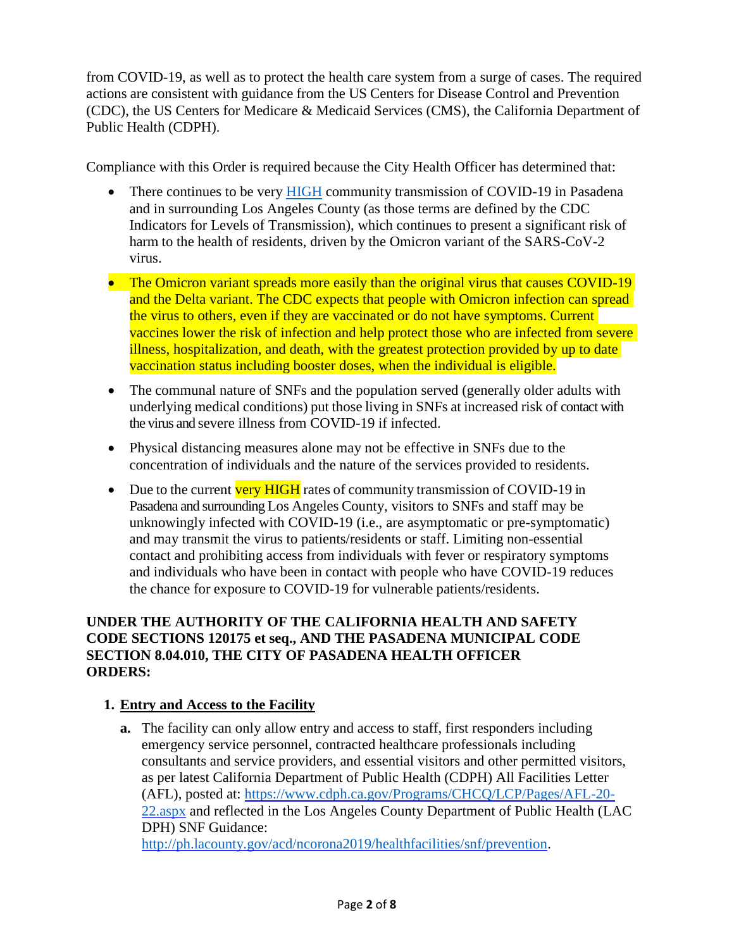from COVID-19, as well as to protect the health care system from a surge of cases. The required actions are consistent with guidance from the US Centers for Disease Control and Prevention (CDC), the US Centers for Medicare & Medicaid Services (CMS), the California Department of Public Health (CDPH).

Compliance with this Order is required because the City Health Officer has determined that:

- There continues to be very [HIGH](https://covid.cdc.gov/covid-data-tracker/#county-view) community transmission of COVID-19 in Pasadena and in surrounding Los Angeles County (as those terms are defined by the CDC Indicators for Levels of Transmission), which continues to present a significant risk of harm to the health of residents, driven by the Omicron variant of the SARS-CoV-2 virus.
- The Omicron variant spreads more easily than the original virus that causes COVID-19 and the Delta variant. The CDC expects that people with Omicron infection can spread the virus to others, even if they are vaccinated or do not have symptoms. Current vaccines lower the risk of infection and help protect those who are infected from severe illness, hospitalization, and death, with the greatest protection provided by up to date vaccination status including booster doses, when the individual is eligible.
- The communal nature of SNFs and the population served (generally older adults with underlying medical conditions) put those living in SNFs at increased risk of contact with the virus and severe illness from COVID-19 if infected.
- Physical distancing measures alone may not be effective in SNFs due to the concentration of individuals and the nature of the services provided to residents.
- Due to the current very HIGH rates of community transmission of COVID-19 in Pasadena and surrounding Los Angeles County, visitors to SNFs and staff may be unknowingly infected with COVID-19 (i.e., are asymptomatic or pre-symptomatic) and may transmit the virus to patients/residents or staff. Limiting non-essential contact and prohibiting access from individuals with fever or respiratory symptoms and individuals who have been in contact with people who have COVID-19 reduces the chance for exposure to COVID-19 for vulnerable patients/residents.

### **UNDER THE AUTHORITY OF THE CALIFORNIA HEALTH AND SAFETY CODE SECTIONS 120175 et seq., AND THE PASADENA MUNICIPAL CODE SECTION 8.04.010, THE CITY OF PASADENA HEALTH OFFICER ORDERS:**

## **1. Entry and Access to the Facility**

**a.** The facility can only allow entry and access to staff, first responders including emergency service personnel, contracted healthcare professionals including consultants and service providers, and essential visitors and other permitted visitors, as per latest California Department of Public Health (CDPH) [All Facilities Letter](https://www.cdph.ca.gov/Programs/CHCQ/LCP/Pages/AFL-20-22.aspx)  [\(AFL\)](https://www.cdph.ca.gov/Programs/CHCQ/LCP/Pages/AFL-20-22.aspx), posted at: [https://www.cdph.ca.gov/Programs/CHCQ/LCP/Pages/AFL-20-](https://www.cdph.ca.gov/Programs/CHCQ/LCP/Pages/AFL-20-22.aspx) [22.aspx](https://www.cdph.ca.gov/Programs/CHCQ/LCP/Pages/AFL-20-22.aspx) and reflected in the Los Angeles County Department of Public Health (LAC DPH) SNF Guidance: [http://ph.lacounty.gov/acd/ncorona2019/healthfacilities/snf/prevention.](http://ph.lacounty.gov/acd/ncorona2019/healthfacilities/snf/prevention)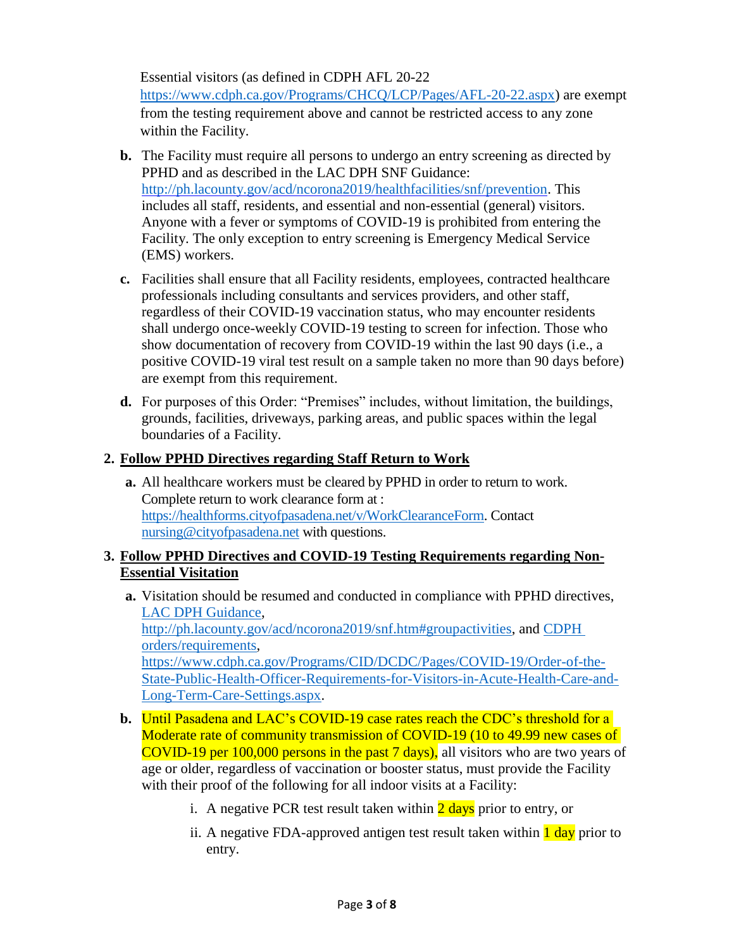Essential visitors (as defined in CDPH AFL 20-22 [https://www.cdph.ca.gov/Programs/CHCQ/LCP/Pages/AFL-20-22.aspx\)](https://www.cdph.ca.gov/Programs/CHCQ/LCP/Pages/AFL-20-22.aspx) are exempt from the testing requirement above and cannot be restricted access to any zone within the Facility.

- **b.** The Facility must require all persons to undergo an entry screening as directed by PPHD and as described in the LAC DPH SNF Guidance: [http://ph.lacounty.gov/acd/ncorona2019/healthfacilities/snf/prevention.](http://ph.lacounty.gov/acd/ncorona2019/healthfacilities/snf/prevention) This includes all staff, residents, and essential and non-essential (general) visitors. Anyone with a fever or symptoms of COVID-19 is prohibited from entering the Facility. The only exception to entry screening is Emergency Medical Service (EMS) workers.
- **c.** Facilities shall ensure that all Facility residents, employees, contracted healthcare professionals including consultants and services providers, and other staff, regardless of their COVID-19 vaccination status, who may encounter residents shall undergo once-weekly COVID-19 testing to screen for infection. Those who show documentation of recovery from COVID-19 within the last 90 days (i.e., a positive COVID-19 viral test result on a sample taken no more than 90 days before) are exempt from this requirement.
- **d.** For purposes of this Order: "Premises" includes, without limitation, the buildings, grounds, facilities, driveways, parking areas, and public spaces within the legal boundaries of a Facility.

## **2. Follow PPHD Directives regarding Staff Return to Work**

**a.** All healthcare workers must be cleared by PPHD in order to return to work. Complete return to work clearance form at : [https://healthforms.cityofpasadena.net/v/WorkClearanceForm.](https://healthforms.cityofpasadena.net/v/WorkClearanceForm) Contact [nursing@cityofpasadena.net](mailto:nursing@cityofpasadena.net) with questions.

## **3. Follow PPHD Directives and COVID-19 Testing Requirements regarding Non-Essential Visitation**

- **a.** Visitation should be resumed and conducted in compliance with PPHD directives, [LAC DPH Guidance,](http://ph.lacounty.gov/acd/ncorona2019/snf.htm#groupactivities) [http://ph.lacounty.gov/acd/ncorona2019/snf.htm#groupactivities,](http://ph.lacounty.gov/acd/ncorona2019/snf.htm%23groupactivities) and [CDPH](https://www.cdph.ca.gov/Programs/CID/DCDC/Pages/COVID-19/Order-of-the-State-Public-Health-Officer-Requirements-for-Visitors-in-Acute-Health-Care-and-Long-Term-Care-Settings.aspx)  [orders/requirements,](https://www.cdph.ca.gov/Programs/CID/DCDC/Pages/COVID-19/Order-of-the-State-Public-Health-Officer-Requirements-for-Visitors-in-Acute-Health-Care-and-Long-Term-Care-Settings.aspx) [https://www.cdph.ca.gov/Programs/CID/DCDC/Pages/COVID-19/Order-of-the-](https://www.cdph.ca.gov/Programs/CID/DCDC/Pages/COVID-19/Order-of-the-State-Public-Health-Officer-Requirements-for-Visitors-in-Acute-Health-Care-and-Long-Term-Care-Settings.aspx)[State-Public-Health-Officer-Requirements-for-Visitors-in-Acute-Health-Care-and-](https://www.cdph.ca.gov/Programs/CID/DCDC/Pages/COVID-19/Order-of-the-State-Public-Health-Officer-Requirements-for-Visitors-in-Acute-Health-Care-and-Long-Term-Care-Settings.aspx)[Long-Term-Care-Settings.aspx.](https://www.cdph.ca.gov/Programs/CID/DCDC/Pages/COVID-19/Order-of-the-State-Public-Health-Officer-Requirements-for-Visitors-in-Acute-Health-Care-and-Long-Term-Care-Settings.aspx)
- **b.** Until Pasadena and LAC's COVID-19 case rates reach the CDC's threshold for a Moderate rate of community transmission of COVID-19 (10 to 49.99 new cases of COVID-19 per 100,000 persons in the past 7 days), all visitors who are two years of age or older, regardless of vaccination or booster status, must provide the Facility with their proof of the following for all indoor visits at a Facility:
	- i. A negative PCR test result taken within  $\frac{2 \text{ days}}{2 \text{ days}}$  prior to entry, or
	- ii. A negative FDA-approved antigen test result taken within **1 day** prior to entry.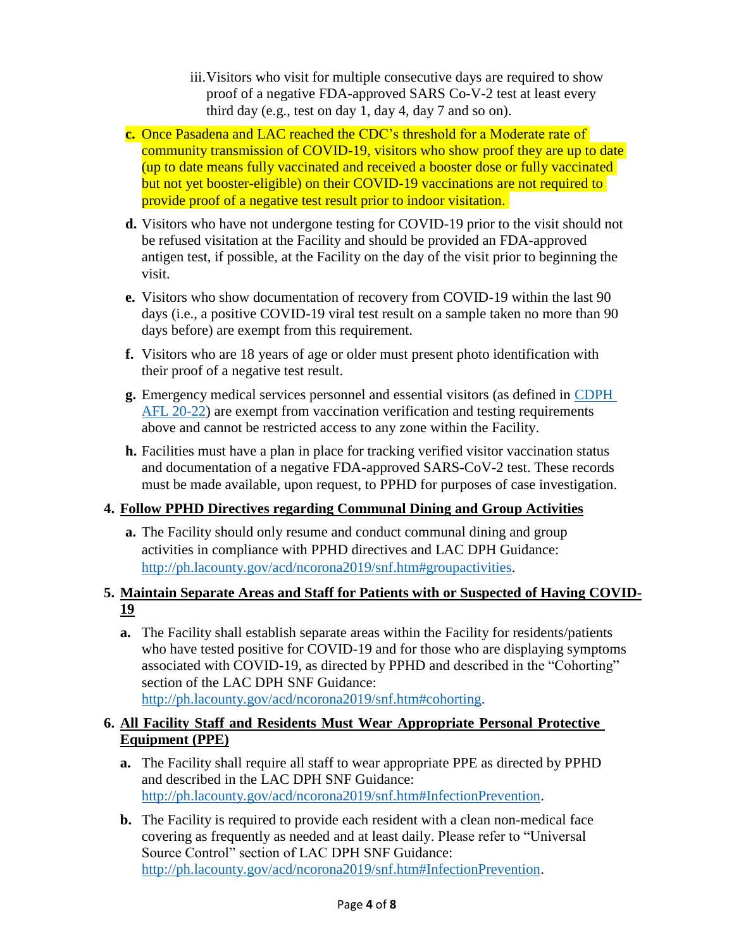- iii.Visitors who visit for multiple consecutive days are required to show proof of a negative FDA-approved SARS Co-V-2 test at least every third day (e.g., test on day 1, day 4, day 7 and so on).
- **c.** Once Pasadena and LAC reached the CDC's threshold for a Moderate rate of community transmission of COVID-19, visitors who show proof they are up to date (up to date means fully vaccinated and received a booster dose or fully vaccinated but not yet booster-eligible) on their COVID-19 vaccinations are not required to provide proof of a negative test result prior to indoor visitation.
- **d.** Visitors who have not undergone testing for COVID-19 prior to the visit should not be refused visitation at the Facility and should be provided an FDA-approved antigen test, if possible, at the Facility on the day of the visit prior to beginning the visit.
- **e.** Visitors who show documentation of recovery from COVID-19 within the last 90 days (i.e., a positive COVID-19 viral test result on a sample taken no more than 90 days before) are exempt from this requirement.
- **f.** Visitors who are 18 years of age or older must present photo identification with their proof of a negative test result.
- **g.** Emergency medical services personnel and essential visitors (as defined in [CDPH](https://www.cdph.ca.gov/Programs/CHCQ/LCP/Pages/AFL-20-22.aspx)  [AFL 20-22\)](https://www.cdph.ca.gov/Programs/CHCQ/LCP/Pages/AFL-20-22.aspx) are exempt from vaccination verification and testing requirements above and cannot be restricted access to any zone within the Facility.
- **h.** Facilities must have a plan in place for tracking verified visitor vaccination status and documentation of a negative FDA-approved SARS-CoV-2 test. These records must be made available, upon request, to PPHD for purposes of case investigation.

# **4. Follow PPHD Directives regarding Communal Dining and Group Activities**

**a.** The Facility should only resume and conduct communal dining and group activities in compliance with PPHD directives and LAC DPH Guidance: [http://ph.lacounty.gov/acd/ncorona2019/snf.htm#groupactivities.](http://ph.lacounty.gov/acd/ncorona2019/snf.htm%23groupactivities)

# **5. Maintain Separate Areas and Staff for Patients with or Suspected of Having COVID-19**

**a.** The Facility shall establish separate areas within the Facility for residents/patients who have tested positive for COVID-19 and for those who are displaying symptoms associated with COVID-19, as directed by PPHD and described in the "Cohorting" section of the LAC DPH SNF Guidance: [http://ph.lacounty.gov/acd/ncorona2019/snf.htm#cohorting.](http://ph.lacounty.gov/acd/ncorona2019/snf.htm%23cohorting)

## **6. All Facility Staff and Residents Must Wear Appropriate Personal Protective Equipment (PPE)**

- **a.** The Facility shall require all staff to wear appropriate PPE as directed by PPHD and described in the LAC DPH SNF Guidance: [http://ph.lacounty.gov/acd/ncorona2019/snf.htm#InfectionPrevention.](http://ph.lacounty.gov/acd/ncorona2019/snf.htm%23InfectionPrevention)
- **b.** The Facility is required to provide each resident with a clean non-medical face covering as frequently as needed and at least daily. Please refer to "Universal Source Control" section of LAC DPH SNF Guidance: [http://ph.lacounty.gov/acd/ncorona2019/snf.htm#InfectionPrevention.](http://ph.lacounty.gov/acd/ncorona2019/snf.htm%23InfectionPrevention)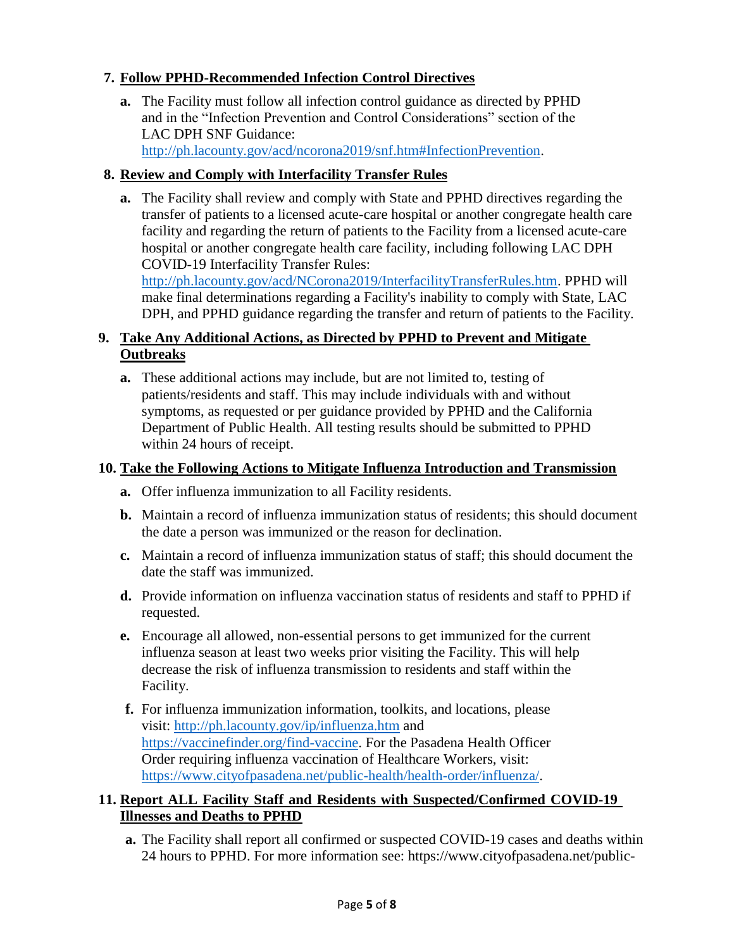## **7. Follow PPHD-Recommended Infection Control Directives**

**a.** The Facility must follow all infection control guidance as directed by PPHD and in the "Infection Prevention and Control Considerations" section of the LAC DPH SNF Guidance:

[http://ph.lacounty.gov/acd/ncorona2019/snf.htm#InfectionPrevention.](http://ph.lacounty.gov/acd/ncorona2019/snf.htm%23InfectionPrevention)

## **8. Review and Comply with Interfacility Transfer Rules**

**a.** The Facility shall review and comply with State and PPHD directives regarding the transfer of patients to a licensed acute-care hospital or another congregate health care facility and regarding the return of patients to the Facility from a licensed acute-care hospital or another congregate health care facility, including following LAC DPH COVID-19 Interfacility Transfer Rules:

[http://ph.lacounty.gov/acd/NCorona2019/InterfacilityTransferRules.htm.](http://ph.lacounty.gov/acd/NCorona2019/InterfacilityTransferRules.htm) PPHD will make final determinations regarding a Facility's inability to comply with State, LAC DPH, and PPHD guidance regarding the transfer and return of patients to the Facility.

## **9. Take Any Additional Actions, as Directed by PPHD to Prevent and Mitigate Outbreaks**

**a.** These additional actions may include, but are not limited to, testing of patients/residents and staff. This may include individuals with and without symptoms, as requested or per guidance provided by PPHD and the California Department of Public Health. All testing results should be submitted to PPHD within 24 hours of receipt.

### **10. Take the Following Actions to Mitigate Influenza Introduction and Transmission**

- **a.** Offer influenza immunization to all Facility residents.
- **b.** Maintain a record of influenza immunization status of residents; this should document the date a person was immunized or the reason for declination.
- **c.** Maintain a record of influenza immunization status of staff; this should document the date the staff was immunized.
- **d.** Provide information on influenza vaccination status of residents and staff to PPHD if requested.
- **e.** Encourage all allowed, non-essential persons to get immunized for the current influenza season at least two weeks prior visiting the Facility. This will help decrease the risk of influenza transmission to residents and staff within the Facility.
- **f.** For influenza immunization information, toolkits, and locations, please visit: <http://ph.lacounty.gov/ip/influenza.htm> and [https://vaccinefinder.org/find-vaccine.](https://vaccinefinder.org/find-vaccine) For the Pasadena Health Officer Order requiring influenza vaccination of Healthcare Workers, visit: [https://www.cityofpasadena.net/public-health/health-order/influenza/.](https://www.cityofpasadena.net/public-health/health-order/influenza/)

### **11. Report ALL Facility Staff and Residents with Suspected/Confirmed COVID-19 Illnesses and Deaths to PPHD**

**a.** The Facility shall report all confirmed or suspected COVID-19 cases and deaths within 24 hours to PPHD. For more information see: https://www.cityofpasadena.net/public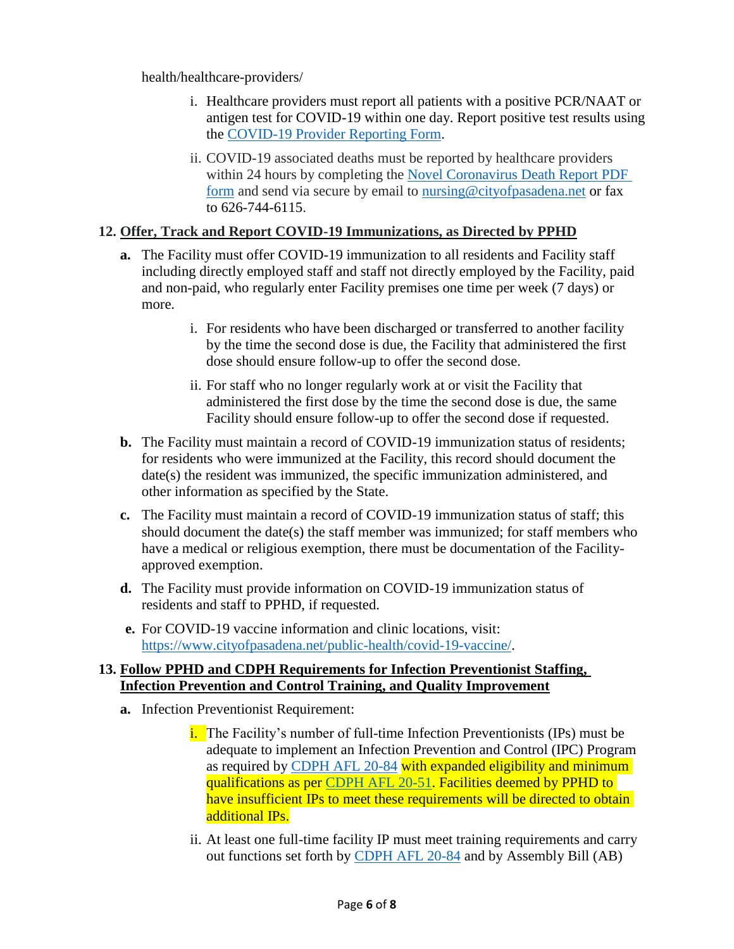health/healthcare-providers/

- i. Healthcare providers must report all patients with a positive PCR/NAAT or antigen test for COVID-19 within one day. Report positive test results using the [COVID-19 Provider Reporting Form.](https://www.cityofpasadena.net/public-health/wp-content/uploads/sites/32/COVID19-Lab-Results-Reporting-Form.pdf?v=1639521790018)
- ii. COVID-19 associated deaths must be reported by healthcare providers within 24 hours by completing the [Novel Coronavirus Death Report PDF](http://publichealth.lacounty.gov/acd/Diseases/EpiForms/COVID19DeathSaveable.pdf)  [form](http://publichealth.lacounty.gov/acd/Diseases/EpiForms/COVID19DeathSaveable.pdf) and send via secure by email to [nursing@cityofpasadena.net](mailto:nursing@cityofpasadena.net) or fax to 626-744-6115.

#### **12. Offer, Track and Report COVID-19 Immunizations, as Directed by PPHD**

- **a.** The Facility must offer COVID-19 immunization to all residents and Facility staff including directly employed staff and staff not directly employed by the Facility, paid and non-paid, who regularly enter Facility premises one time per week (7 days) or more.
	- i. For residents who have been discharged or transferred to another facility by the time the second dose is due, the Facility that administered the first dose should ensure follow-up to offer the second dose.
	- ii. For staff who no longer regularly work at or visit the Facility that administered the first dose by the time the second dose is due, the same Facility should ensure follow-up to offer the second dose if requested.
- **b.** The Facility must maintain a record of COVID-19 immunization status of residents; for residents who were immunized at the Facility, this record should document the date(s) the resident was immunized, the specific immunization administered, and other information as specified by the State.
- **c.** The Facility must maintain a record of COVID-19 immunization status of staff; this should document the date(s) the staff member was immunized; for staff members who have a medical or religious exemption, there must be documentation of the Facilityapproved exemption.
- **d.** The Facility must provide information on COVID-19 immunization status of residents and staff to PPHD, if requested.
- **e.** For COVID-19 vaccine information and clinic locations, visit: [https://www.cityofpasadena.net/public-health/covid-19-vaccine/.](https://www.cityofpasadena.net/public-health/covid-19-vaccine/)

#### **13. Follow PPHD and CDPH Requirements for Infection Preventionist Staffing, Infection Prevention and Control Training, and Quality Improvement**

- **a.** Infection Preventionist Requirement:
	- i. The Facility's number of full-time Infection Preventionists (IPs) must be adequate to implement an Infection Prevention and Control (IPC) Program as required by [CDPH AFL 20-84](https://www.cdph.ca.gov/Programs/CHCQ/LCP/Pages/AFL-20-84.aspx) with expanded eligibility and minimum qualifications as per [CDPH AFL 20-51.](https://www.cdph.ca.gov/Programs/CHCQ/LCP/Pages/AFL-21-51.aspx) Facilities deemed by PPHD to have insufficient IPs to meet these requirements will be directed to obtain additional IPs.
	- ii. At least one full-time facility IP must meet training requirements and carry out functions set forth by [CDPH AFL 20-84](https://www.cdph.ca.gov/Programs/CHCQ/LCP/Pages/AFL-20-84.aspx) and by [Assembly Bill \(AB\)](https://www.cdph.ca.gov/Programs/CHCQ/LCP/Pages/AFL-20-85.aspx)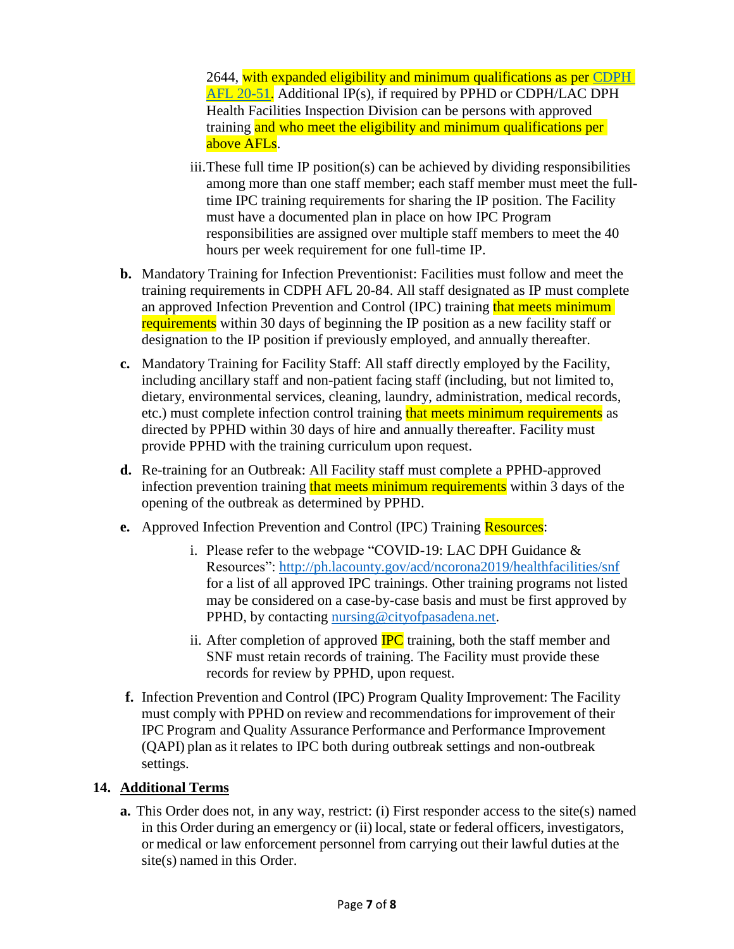[2644,](https://www.cdph.ca.gov/Programs/CHCQ/LCP/Pages/AFL-20-85.aspx) with expanded eligibility and minimum qualifications as per [CDPH](https://www.cdph.ca.gov/Programs/CHCQ/LCP/Pages/AFL-21-51.aspx)  [AFL 20-51.](https://www.cdph.ca.gov/Programs/CHCQ/LCP/Pages/AFL-21-51.aspx) Additional IP(s), if required by PPHD or CDPH/LAC DPH Health Facilities Inspection Division can be persons with approved training and who meet the eligibility and minimum qualifications per above AFLs.

- iii.These full time IP position(s) can be achieved by dividing responsibilities among more than one staff member; each staff member must meet the fulltime IPC training requirements for sharing the IP position. The Facility must have a documented plan in place on how IPC Program responsibilities are assigned over multiple staff members to meet the 40 hours per week requirement for one full-time IP.
- **b.** Mandatory Training for Infection Preventionist: Facilities must follow and meet the training requirements in [CDPH AFL 20-84.](https://www.cdph.ca.gov/Programs/CHCQ/LCP/Pages/AFL-20-84.aspx) All staff designated as IP must complete an approved Infection Prevention and Control (IPC) training that meets minimum requirements within 30 days of beginning the IP position as a new facility staff or designation to the IP position if previously employed, and annually thereafter.
- **c.** Mandatory Training for Facility Staff: All staff directly employed by the Facility, including ancillary staff and non-patient facing staff (including, but not limited to, dietary, environmental services, cleaning, laundry, administration, medical records, etc.) must complete infection control training that meets minimum requirements as directed by PPHD within 30 days of hire and annually thereafter. Facility must provide PPHD with the training curriculum upon request.
- **d.** Re-training for an Outbreak: All Facility staff must complete a PPHD-approved infection prevention training that meets minimum requirements within 3 days of the opening of the outbreak as determined by PPHD.
- **e.** Approved Infection Prevention and Control (IPC) Training **Resources**:
	- i. Please refer to the webpage "COVID-19: LAC DPH Guidance & Resources":<http://ph.lacounty.gov/acd/ncorona2019/healthfacilities/snf> for a list of all approved IPC trainings. Other training programs not listed may be considered on a case-by-case basis and must be first approved by PPHD, by contacting [nursing@cityofpasadena.net.](mailto:nursing@cityofpasadena.net)
	- ii. After completion of approved  $\overline{HC}$  training, both the staff member and SNF must retain records of training. The Facility must provide these records for review by PPHD, upon request.
- **f.** Infection Prevention and Control (IPC) Program Quality Improvement: The Facility must comply with PPHD on review and recommendations for improvement of their IPC Program and Quality Assurance Performance and Performance Improvement (QAPI) plan as it relates to IPC both during outbreak settings and non-outbreak settings.

## **14. Additional Terms**

**a.** This Order does not, in any way, restrict: (i) First responder access to the site(s) named in this Order during an emergency or (ii) local, state or federal officers, investigators, or medical or law enforcement personnel from carrying out their lawful duties at the site(s) named in this Order.